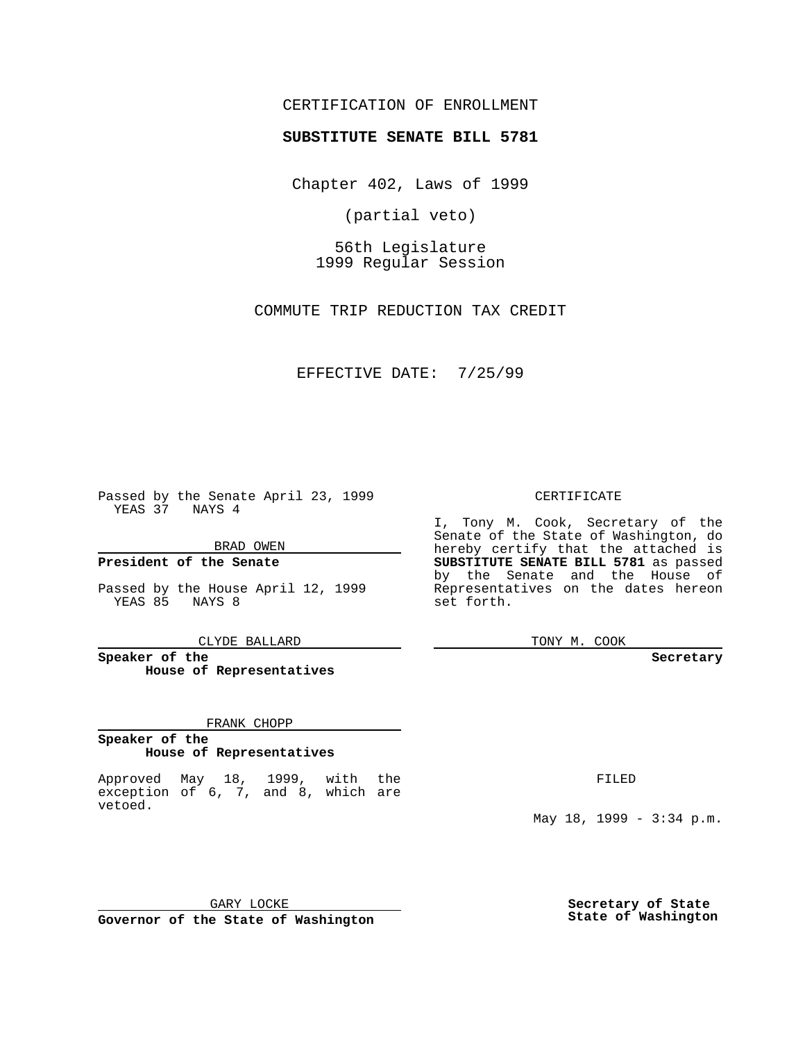## CERTIFICATION OF ENROLLMENT

# **SUBSTITUTE SENATE BILL 5781**

Chapter 402, Laws of 1999

(partial veto)

56th Legislature 1999 Regular Session

COMMUTE TRIP REDUCTION TAX CREDIT

EFFECTIVE DATE: 7/25/99

Passed by the Senate April 23, 1999 YEAS 37 NAYS 4

BRAD OWEN

**President of the Senate**

Passed by the House April 12, 1999 YEAS 85 NAYS 8

CLYDE BALLARD

**Speaker of the House of Representatives**

#### FRANK CHOPP

#### **Speaker of the House of Representatives**

Approved May 18, 1999, with the exception of 6, 7, and 8, which are vetoed.

CERTIFICATE

I, Tony M. Cook, Secretary of the Senate of the State of Washington, do hereby certify that the attached is **SUBSTITUTE SENATE BILL 5781** as passed by the Senate and the House of Representatives on the dates hereon set forth.

TONY M. COOK

#### **Secretary**

FILED

May 18, 1999 - 3:34 p.m.

GARY LOCKE **Governor of the State of Washington**

**Secretary of State State of Washington**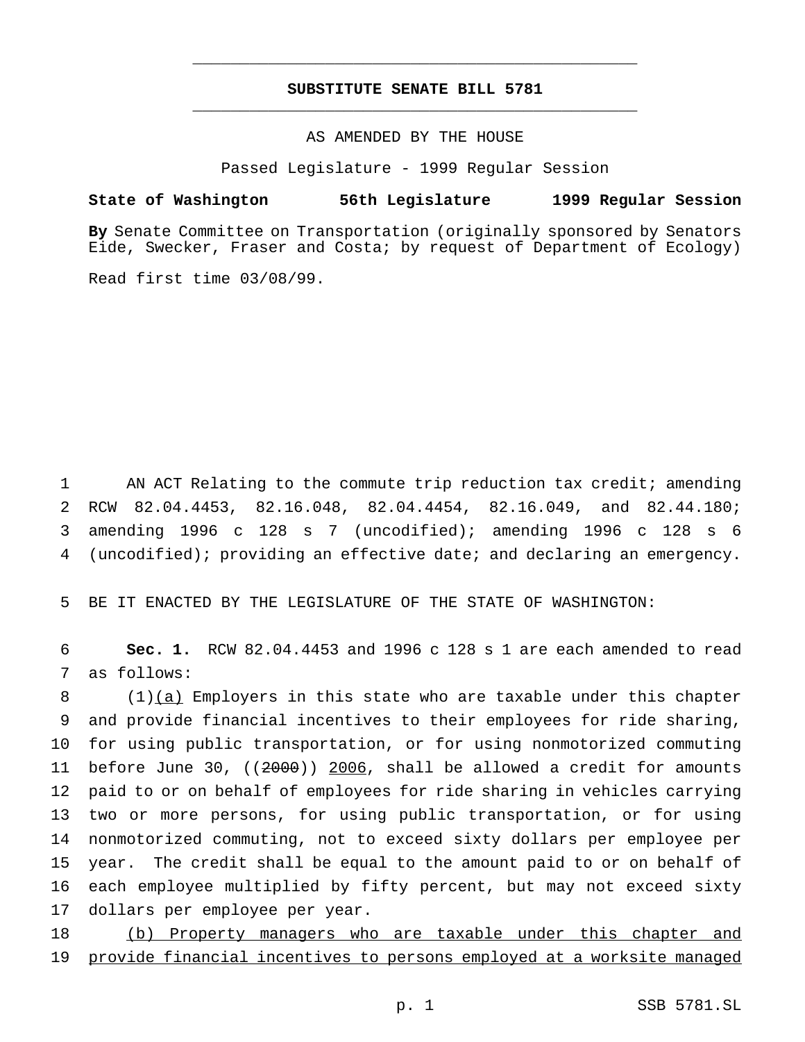## **SUBSTITUTE SENATE BILL 5781** \_\_\_\_\_\_\_\_\_\_\_\_\_\_\_\_\_\_\_\_\_\_\_\_\_\_\_\_\_\_\_\_\_\_\_\_\_\_\_\_\_\_\_\_\_\_\_

\_\_\_\_\_\_\_\_\_\_\_\_\_\_\_\_\_\_\_\_\_\_\_\_\_\_\_\_\_\_\_\_\_\_\_\_\_\_\_\_\_\_\_\_\_\_\_

### AS AMENDED BY THE HOUSE

Passed Legislature - 1999 Regular Session

#### **State of Washington 56th Legislature 1999 Regular Session**

**By** Senate Committee on Transportation (originally sponsored by Senators Eide, Swecker, Fraser and Costa; by request of Department of Ecology)

Read first time 03/08/99.

 AN ACT Relating to the commute trip reduction tax credit; amending RCW 82.04.4453, 82.16.048, 82.04.4454, 82.16.049, and 82.44.180; amending 1996 c 128 s 7 (uncodified); amending 1996 c 128 s 6 (uncodified); providing an effective date; and declaring an emergency.

5 BE IT ENACTED BY THE LEGISLATURE OF THE STATE OF WASHINGTON:

6 **Sec. 1.** RCW 82.04.4453 and 1996 c 128 s 1 are each amended to read 7 as follows:

 (1)(a) Employers in this state who are taxable under this chapter and provide financial incentives to their employees for ride sharing, for using public transportation, or for using nonmotorized commuting 11 before June 30,  $((2000))$  2006, shall be allowed a credit for amounts paid to or on behalf of employees for ride sharing in vehicles carrying two or more persons, for using public transportation, or for using nonmotorized commuting, not to exceed sixty dollars per employee per year. The credit shall be equal to the amount paid to or on behalf of each employee multiplied by fifty percent, but may not exceed sixty dollars per employee per year.

18 (b) Property managers who are taxable under this chapter and 19 provide financial incentives to persons employed at a worksite managed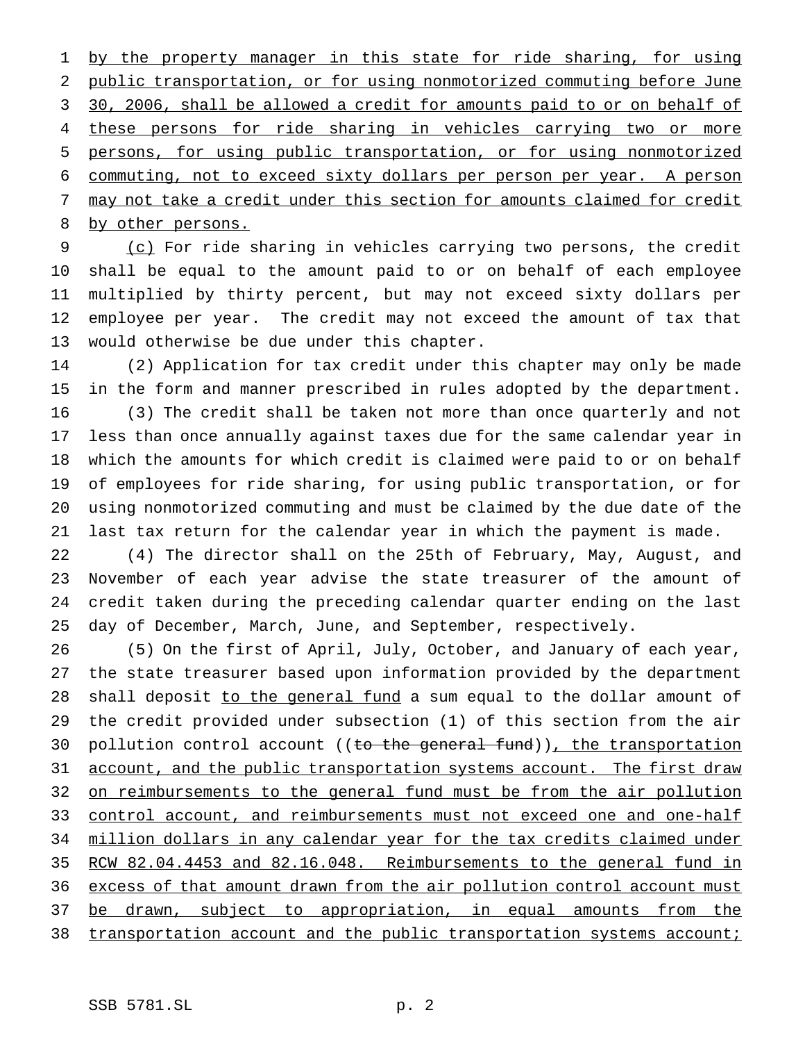1 by the property manager in this state for ride sharing, for using public transportation, or for using nonmotorized commuting before June 30, 2006, shall be allowed a credit for amounts paid to or on behalf of these persons for ride sharing in vehicles carrying two or more persons, for using public transportation, or for using nonmotorized commuting, not to exceed sixty dollars per person per year. A person may not take a credit under this section for amounts claimed for credit 8 by other persons.

 (c) For ride sharing in vehicles carrying two persons, the credit shall be equal to the amount paid to or on behalf of each employee multiplied by thirty percent, but may not exceed sixty dollars per employee per year. The credit may not exceed the amount of tax that would otherwise be due under this chapter.

 (2) Application for tax credit under this chapter may only be made in the form and manner prescribed in rules adopted by the department. (3) The credit shall be taken not more than once quarterly and not less than once annually against taxes due for the same calendar year in which the amounts for which credit is claimed were paid to or on behalf of employees for ride sharing, for using public transportation, or for using nonmotorized commuting and must be claimed by the due date of the last tax return for the calendar year in which the payment is made.

 (4) The director shall on the 25th of February, May, August, and November of each year advise the state treasurer of the amount of credit taken during the preceding calendar quarter ending on the last day of December, March, June, and September, respectively.

 (5) On the first of April, July, October, and January of each year, the state treasurer based upon information provided by the department 28 shall deposit to the general fund a sum equal to the dollar amount of the credit provided under subsection (1) of this section from the air 30 pollution control account ((to the general fund)), the transportation 31 account, and the public transportation systems account. The first draw 32 on reimbursements to the general fund must be from the air pollution 33 control account, and reimbursements must not exceed one and one-half 34 million dollars in any calendar year for the tax credits claimed under RCW 82.04.4453 and 82.16.048. Reimbursements to the general fund in 36 excess of that amount drawn from the air pollution control account must 37 be drawn, subject to appropriation, in equal amounts from the 38 transportation account and the public transportation systems account;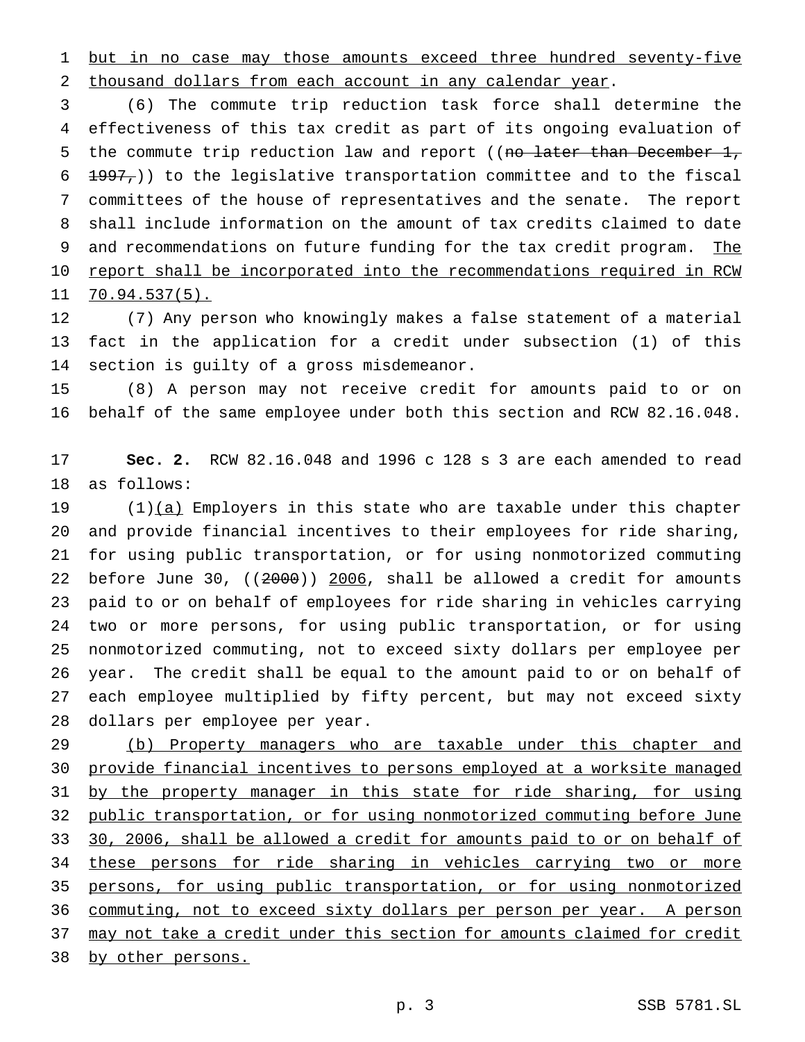1 but in no case may those amounts exceed three hundred seventy-five thousand dollars from each account in any calendar year.

 (6) The commute trip reduction task force shall determine the effectiveness of this tax credit as part of its ongoing evaluation of 5 the commute trip reduction law and report ((no later than December 1,  $6 + 1997,$ ) to the legislative transportation committee and to the fiscal committees of the house of representatives and the senate. The report shall include information on the amount of tax credits claimed to date 9 and recommendations on future funding for the tax credit program. The 10 report shall be incorporated into the recommendations required in RCW 70.94.537(5).

 (7) Any person who knowingly makes a false statement of a material fact in the application for a credit under subsection (1) of this section is guilty of a gross misdemeanor.

 (8) A person may not receive credit for amounts paid to or on behalf of the same employee under both this section and RCW 82.16.048.

 **Sec. 2.** RCW 82.16.048 and 1996 c 128 s 3 are each amended to read as follows:

 $(1)(a)$  Employers in this state who are taxable under this chapter and provide financial incentives to their employees for ride sharing, for using public transportation, or for using nonmotorized commuting before June 30, ((2000)) 2006, shall be allowed a credit for amounts paid to or on behalf of employees for ride sharing in vehicles carrying two or more persons, for using public transportation, or for using nonmotorized commuting, not to exceed sixty dollars per employee per year. The credit shall be equal to the amount paid to or on behalf of each employee multiplied by fifty percent, but may not exceed sixty dollars per employee per year.

29 (b) Property managers who are taxable under this chapter and provide financial incentives to persons employed at a worksite managed 31 by the property manager in this state for ride sharing, for using public transportation, or for using nonmotorized commuting before June 30, 2006, shall be allowed a credit for amounts paid to or on behalf of these persons for ride sharing in vehicles carrying two or more persons, for using public transportation, or for using nonmotorized commuting, not to exceed sixty dollars per person per year. A person may not take a credit under this section for amounts claimed for credit by other persons.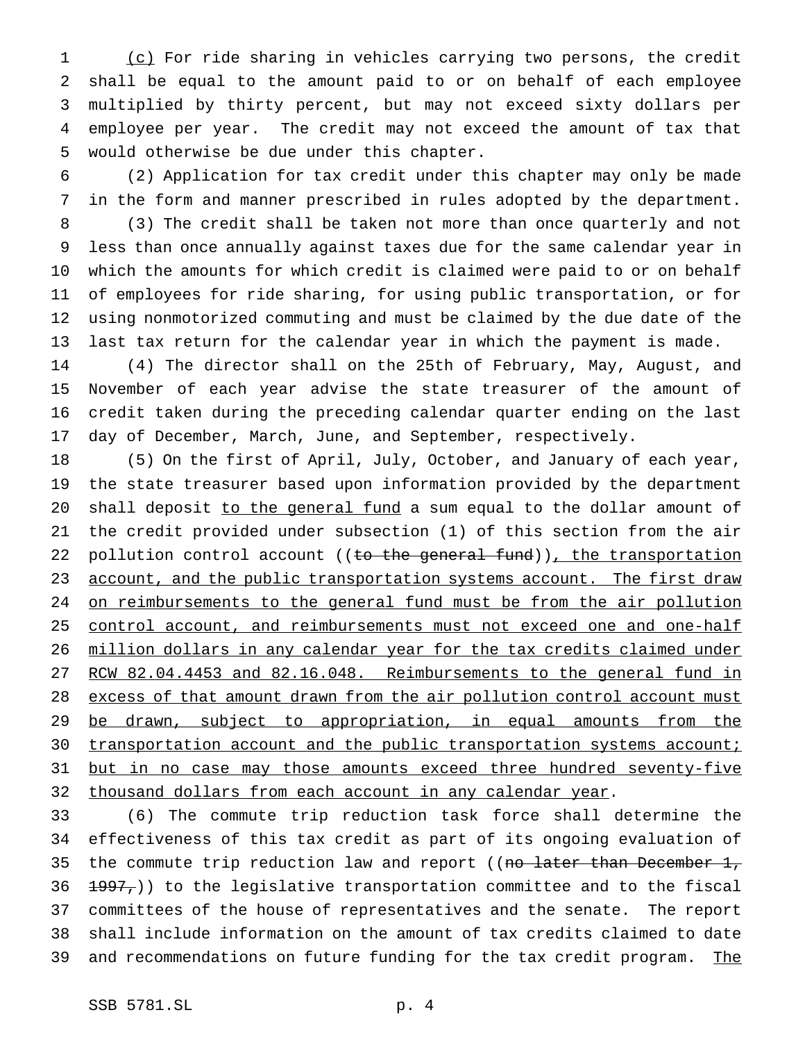(c) For ride sharing in vehicles carrying two persons, the credit shall be equal to the amount paid to or on behalf of each employee multiplied by thirty percent, but may not exceed sixty dollars per employee per year. The credit may not exceed the amount of tax that would otherwise be due under this chapter.

 (2) Application for tax credit under this chapter may only be made in the form and manner prescribed in rules adopted by the department.

 (3) The credit shall be taken not more than once quarterly and not less than once annually against taxes due for the same calendar year in which the amounts for which credit is claimed were paid to or on behalf of employees for ride sharing, for using public transportation, or for using nonmotorized commuting and must be claimed by the due date of the last tax return for the calendar year in which the payment is made.

 (4) The director shall on the 25th of February, May, August, and November of each year advise the state treasurer of the amount of credit taken during the preceding calendar quarter ending on the last day of December, March, June, and September, respectively.

 (5) On the first of April, July, October, and January of each year, the state treasurer based upon information provided by the department 20 shall deposit to the general fund a sum equal to the dollar amount of the credit provided under subsection (1) of this section from the air 22 pollution control account ((to the general fund)), the transportation 23 account, and the public transportation systems account. The first draw 24 on reimbursements to the general fund must be from the air pollution 25 control account, and reimbursements must not exceed one and one-half million dollars in any calendar year for the tax credits claimed under RCW 82.04.4453 and 82.16.048. Reimbursements to the general fund in 28 excess of that amount drawn from the air pollution control account must 29 be drawn, subject to appropriation, in equal amounts from the 30 transportation account and the public transportation systems account; 31 but in no case may those amounts exceed three hundred seventy-five 32 thousand dollars from each account in any calendar year.

 (6) The commute trip reduction task force shall determine the effectiveness of this tax credit as part of its ongoing evaluation of 35 the commute trip reduction law and report ((no later than December 1,  $\left(\frac{1997}{7}\right)$  to the legislative transportation committee and to the fiscal committees of the house of representatives and the senate. The report shall include information on the amount of tax credits claimed to date 39 and recommendations on future funding for the tax credit program. The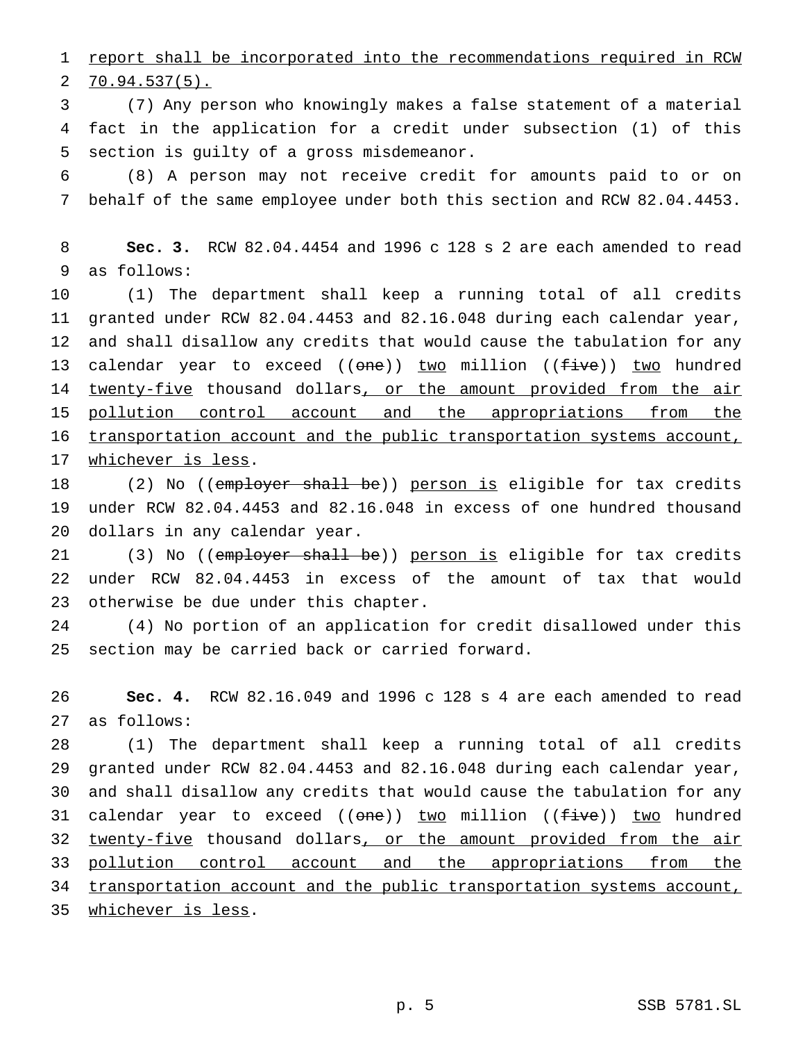1 report shall be incorporated into the recommendations required in RCW  $2, 70.94.537(5)$ .

 (7) Any person who knowingly makes a false statement of a material fact in the application for a credit under subsection (1) of this section is guilty of a gross misdemeanor.

 (8) A person may not receive credit for amounts paid to or on behalf of the same employee under both this section and RCW 82.04.4453.

 **Sec. 3.** RCW 82.04.4454 and 1996 c 128 s 2 are each amended to read as follows:

 (1) The department shall keep a running total of all credits granted under RCW 82.04.4453 and 82.16.048 during each calendar year, and shall disallow any credits that would cause the tabulation for any 13 calendar year to exceed ((one)) two million ((five)) two hundred 14 twenty-five thousand dollars, or the amount provided from the air pollution control account and the appropriations from the 16 transportation account and the public transportation systems account, whichever is less.

18 (2) No ((employer shall be)) person is eligible for tax credits under RCW 82.04.4453 and 82.16.048 in excess of one hundred thousand dollars in any calendar year.

21 (3) No ((employer shall be)) person is eligible for tax credits under RCW 82.04.4453 in excess of the amount of tax that would otherwise be due under this chapter.

 (4) No portion of an application for credit disallowed under this section may be carried back or carried forward.

 **Sec. 4.** RCW 82.16.049 and 1996 c 128 s 4 are each amended to read as follows:

 (1) The department shall keep a running total of all credits granted under RCW 82.04.4453 and 82.16.048 during each calendar year, and shall disallow any credits that would cause the tabulation for any 31 calendar year to exceed ((<del>one</del>)) <u>two</u> million ((<del>five</del>)) two hundred 32 twenty-five thousand dollars, or the amount provided from the air pollution control account and the appropriations from the 34 transportation account and the public transportation systems account, whichever is less.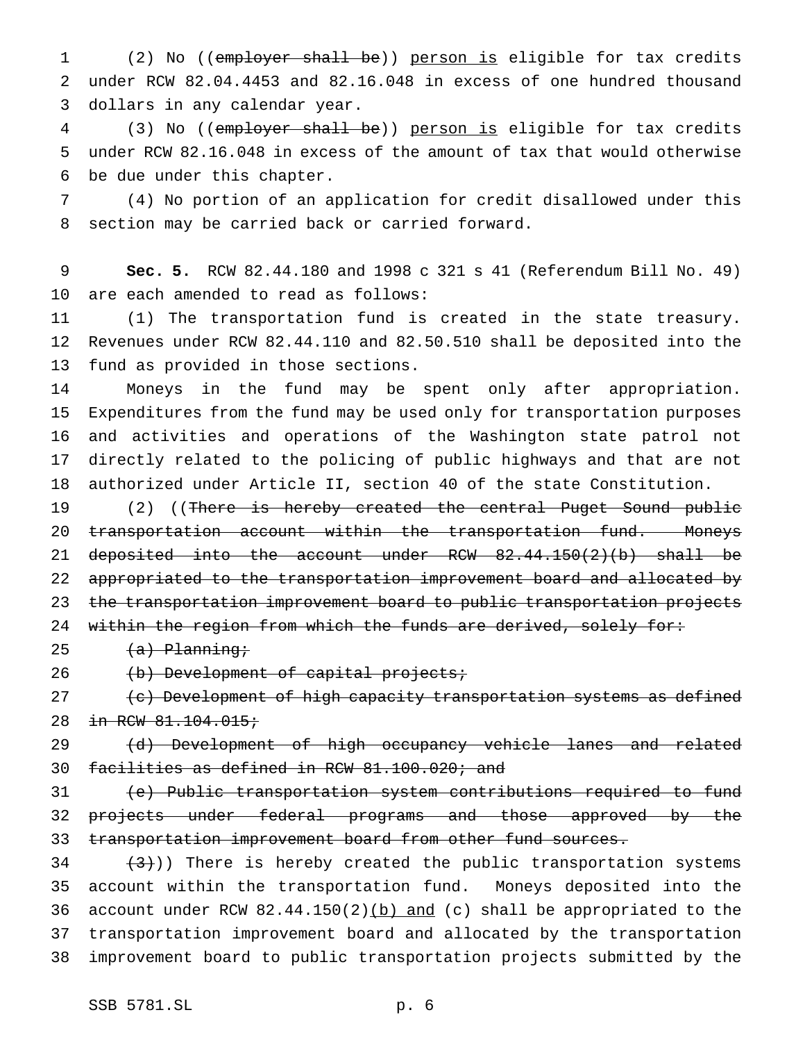1 (2) No ((employer shall be)) person is eligible for tax credits under RCW 82.04.4453 and 82.16.048 in excess of one hundred thousand dollars in any calendar year.

 (3) No ((employer shall be)) person is eligible for tax credits under RCW 82.16.048 in excess of the amount of tax that would otherwise be due under this chapter.

 (4) No portion of an application for credit disallowed under this section may be carried back or carried forward.

 **Sec. 5.** RCW 82.44.180 and 1998 c 321 s 41 (Referendum Bill No. 49) are each amended to read as follows:

 (1) The transportation fund is created in the state treasury. Revenues under RCW 82.44.110 and 82.50.510 shall be deposited into the fund as provided in those sections.

 Moneys in the fund may be spent only after appropriation. Expenditures from the fund may be used only for transportation purposes and activities and operations of the Washington state patrol not directly related to the policing of public highways and that are not authorized under Article II, section 40 of the state Constitution.

19 (2) ((There is hereby created the central Puget Sound public 20 transportation account within the transportation fund. Moneys deposited into the account under RCW 82.44.150(2)(b) shall be appropriated to the transportation improvement board and allocated by the transportation improvement board to public transportation projects 24 within the region from which the funds are derived, solely for:

 $(a)$  Planning;

26 (b) Development of capital projects;

27 (c) Development of high capacity transportation systems as defined 28 in RCW 81.104.015;

29 (d) Development of high occupancy vehicle lanes and related facilities as defined in RCW 81.100.020; and

 (e) Public transportation system contributions required to fund projects under federal programs and those approved by the 33 transportation improvement board from other fund sources.

 $(34 + (3))$ ) There is hereby created the public transportation systems account within the transportation fund. Moneys deposited into the 36 account under RCW  $82.44.150(2)$  (b) and (c) shall be appropriated to the transportation improvement board and allocated by the transportation improvement board to public transportation projects submitted by the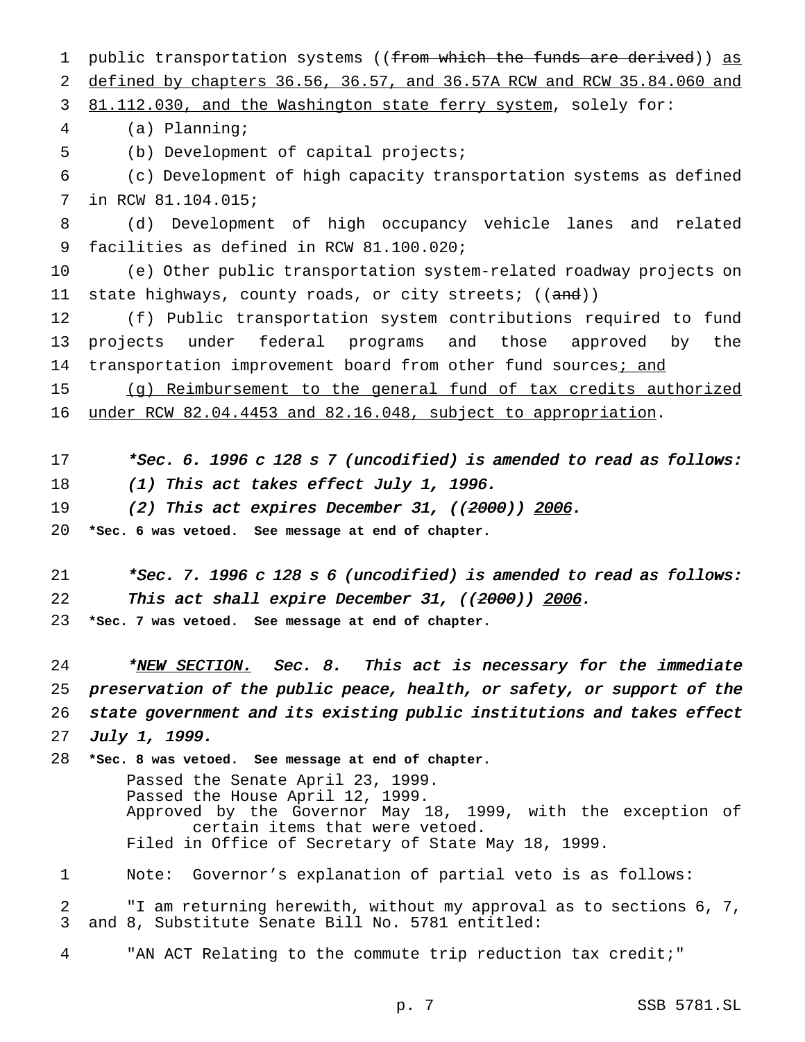1 public transportation systems ((from which the funds are derived)) as defined by chapters 36.56, 36.57, and 36.57A RCW and RCW 35.84.060 and 3 81.112.030, and the Washington state ferry system, solely for: (a) Planning; (b) Development of capital projects; (c) Development of high capacity transportation systems as defined in RCW 81.104.015; (d) Development of high occupancy vehicle lanes and related facilities as defined in RCW 81.100.020; (e) Other public transportation system-related roadway projects on 11 state highways, county roads, or city streets; ((and)) (f) Public transportation system contributions required to fund projects under federal programs and those approved by the 14 transportation improvement board from other fund sources; and 15 (g) Reimbursement to the general fund of tax credits authorized under RCW 82.04.4453 and 82.16.048, subject to appropriation. \*Sec. 6. <sup>1996</sup> <sup>c</sup> <sup>128</sup> <sup>s</sup> <sup>7</sup> (uncodified) is amended to read as follows: 18 (1) This act takes effect July 1, 1996. 19 (2) This act expires December 31, ((2000)) 2006. **\*Sec. 6 was vetoed. See message at end of chapter.** \*Sec. 7. <sup>1996</sup> <sup>c</sup> <sup>128</sup> <sup>s</sup> <sup>6</sup> (uncodified) is amended to read as follows: 22 This act shall expire December 31, ((2000)) 2006. **\*Sec. 7 was vetoed. See message at end of chapter.** 24 \*NEW SECTION. Sec. 8. This act is necessary for the immediate preservation of the public peace, health, or safety, or support of the state government and its existing public institutions and takes effect July 1, 1999. **\*Sec. 8 was vetoed. See message at end of chapter.** Passed the Senate April 23, 1999. Passed the House April 12, 1999. Approved by the Governor May 18, 1999, with the exception of certain items that were vetoed. Filed in Office of Secretary of State May 18, 1999. Note: Governor's explanation of partial veto is as follows: "I am returning herewith, without my approval as to sections 6, 7, and 8, Substitute Senate Bill No. 5781 entitled: "AN ACT Relating to the commute trip reduction tax credit;"

p. 7 SSB 5781.SL